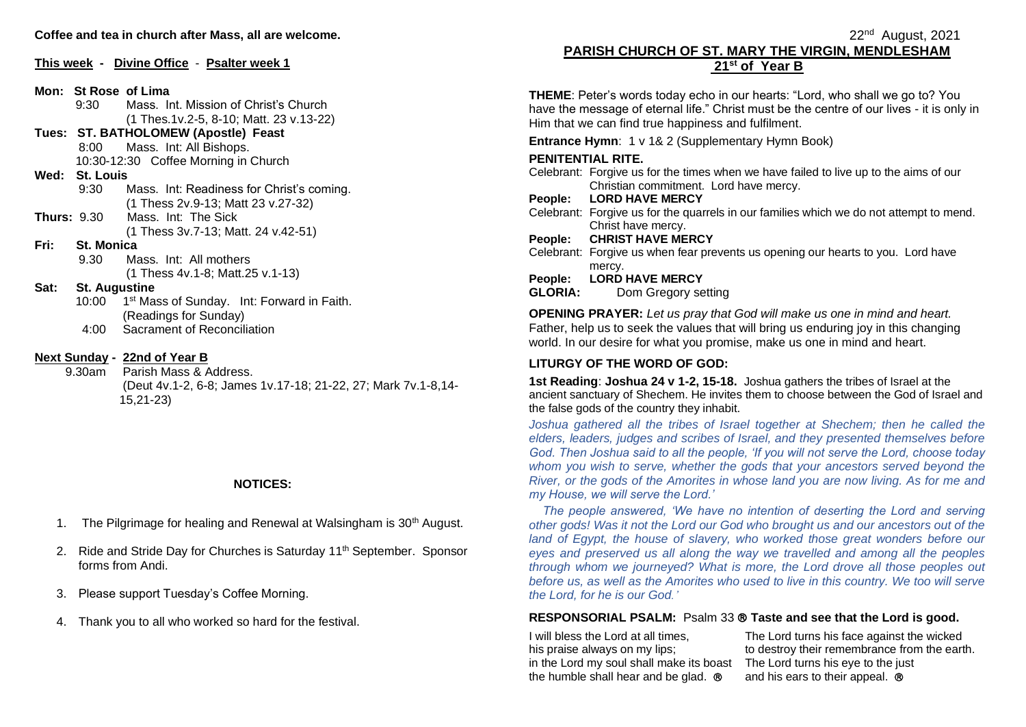|  | This week - Divine Office - Psalter week 1 |  |
|--|--------------------------------------------|--|
|--|--------------------------------------------|--|

**Mon: St Rose of Lima**

- 9:30 Mass. Int. Mission of Christ's Church (1 Thes.1v.2-5, 8-10; Matt. 23 v.13-22)
- **Tues: ST. BATHOLOMEW (Apostle) Feast** 8:00 Mass. Int: All Bishops.

10:30-12:30 Coffee Morning in Church

#### **Wed: St. Louis**

- 9:30 Mass. Int: Readiness for Christ's coming. (1 Thess 2v.9-13; Matt 23 v.27-32)
- **Thurs:** 9.30 Mass. Int: The Sick (1 Thess 3v.7-13; Matt. 24 v.42-51)
- **Fri: St. Monica**
	- 9.30 Mass. Int: All mothers (1 Thess 4v.1-8; Matt.25 v.1-13)

### **Sat: St. Augustine**

- 10:00 1<sup>st</sup> Mass of Sunday. Int: Forward in Faith. (Readings for Sunday)
	- 4:00 Sacrament of Reconciliation

### **Next Sunday - 22nd of Year B**

 9.30am Parish Mass & Address. (Deut 4v.1-2, 6-8; James 1v.17-18; 21-22, 27; Mark 7v.1-8,14- 15,21-23)

### **NOTICES:**

- 1. The Pilgrimage for healing and Renewal at Walsingham is  $30<sup>th</sup>$  August.
- 2. Ride and Stride Day for Churches is Saturday 11<sup>th</sup> September. Sponsor forms from Andi.
- 3. Please support Tuesday's Coffee Morning.
- 4. Thank you to all who worked so hard for the festival.

#### $22^{\mathsf{nd}}$ 22<sup>nd</sup> August, 2021 **PARISH CHURCH OF ST. MARY THE VIRGIN, MENDLESHAM 21st of Year B**

**THEME**: Peter's words today echo in our hearts: "Lord, who shall we go to? You have the message of eternal life." Christ must be the centre of our lives - it is only in Him that we can find true happiness and fulfilment.

**Entrance Hymn**: 1 v 1& 2 (Supplementary Hymn Book)

# **PENITENTIAL RITE.**

Celebrant: Forgive us for the times when we have failed to live up to the aims of our Christian commitment. Lord have mercy.

### **People: LORD HAVE MERCY**

Celebrant: Forgive us for the quarrels in our families which we do not attempt to mend. Christ have mercy.

### **People: CHRIST HAVE MERCY**

Celebrant: Forgive us when fear prevents us opening our hearts to you. Lord have mercy.

### **People: LORD HAVE MERCY**

**GLORIA:** Dom Gregory setting

**OPENING PRAYER:** *Let us pray that God will make us one in mind and heart.* Father, help us to seek the values that will bring us enduring joy in this changing world. In our desire for what you promise, make us one in mind and heart.

# **LITURGY OF THE WORD OF GOD:**

**1st Reading**: **Joshua 24 v 1-2, 15-18.** Joshua gathers the tribes of Israel at the ancient sanctuary of Shechem. He invites them to choose between the God of Israel and the false gods of the country they inhabit.

*Joshua gathered all the tribes of Israel together at Shechem; then he called the elders, leaders, judges and scribes of Israel, and they presented themselves before God. Then Joshua said to all the people, 'If you will not serve the Lord, choose today*  whom you wish to serve, whether the gods that your ancestors served beyond the *River, or the gods of the Amorites in whose land you are now living. As for me and my House, we will serve the Lord.'*

*The people answered, 'We have no intention of deserting the Lord and serving other gods! Was it not the Lord our God who brought us and our ancestors out of the land of Egypt, the house of slavery, who worked those great wonders before our eyes and preserved us all along the way we travelled and among all the peoples through whom we journeyed? What is more, the Lord drove all those peoples out before us, as well as the Amorites who used to live in this country. We too will serve the Lord, for he is our God.'*

## **RESPONSORIAL PSALM:** Psalm 33 **Taste and see that the Lord is good.**

I will bless the Lord at all times, his praise always on my lips; in the Lord my soul shall make its boast the humble shall hear and be glad.  $\otimes$ 

The Lord turns his face against the wicked to destroy their remembrance from the earth. The Lord turns his eye to the just and his ears to their appeal.  $\circledR$